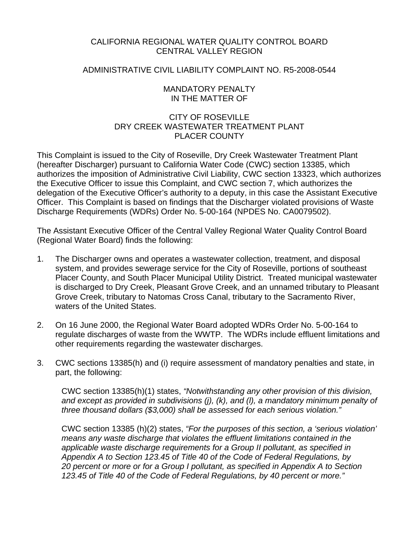### CALIFORNIA REGIONAL WATER QUALITY CONTROL BOARD CENTRAL VALLEY REGION

### ADMINISTRATIVE CIVIL LIABILITY COMPLAINT NO. R5-2008-0544

#### MANDATORY PENALTY IN THE MATTER OF

## CITY OF ROSEVILLE DRY CREEK WASTEWATER TREATMENT PLANT PLACER COUNTY

This Complaint is issued to the City of Roseville, Dry Creek Wastewater Treatment Plant (hereafter Discharger) pursuant to California Water Code (CWC) section 13385, which authorizes the imposition of Administrative Civil Liability, CWC section 13323, which authorizes the Executive Officer to issue this Complaint, and CWC section 7, which authorizes the delegation of the Executive Officer's authority to a deputy, in this case the Assistant Executive Officer. This Complaint is based on findings that the Discharger violated provisions of Waste Discharge Requirements (WDRs) Order No. 5-00-164 (NPDES No. CA0079502).

The Assistant Executive Officer of the Central Valley Regional Water Quality Control Board (Regional Water Board) finds the following:

- 1. The Discharger owns and operates a wastewater collection, treatment, and disposal system, and provides sewerage service for the City of Roseville, portions of southeast Placer County, and South Placer Municipal Utility District. Treated municipal wastewater is discharged to Dry Creek, Pleasant Grove Creek, and an unnamed tributary to Pleasant Grove Creek, tributary to Natomas Cross Canal, tributary to the Sacramento River, waters of the United States.
- 2. On 16 June 2000, the Regional Water Board adopted WDRs Order No. 5-00-164 to regulate discharges of waste from the WWTP. The WDRs include effluent limitations and other requirements regarding the wastewater discharges.
- 3. CWC sections 13385(h) and (i) require assessment of mandatory penalties and state, in part, the following:

CWC section 13385(h)(1) states, *"Notwithstanding any other provision of this division, and except as provided in subdivisions (j), (k), and (l), a mandatory minimum penalty of three thousand dollars (\$3,000) shall be assessed for each serious violation."* 

CWC section 13385 (h)(2) states, *"For the purposes of this section, a 'serious violation' means any waste discharge that violates the effluent limitations contained in the applicable waste discharge requirements for a Group II pollutant, as specified in Appendix A to Section 123.45 of Title 40 of the Code of Federal Regulations, by 20 percent or more or for a Group I pollutant, as specified in Appendix A to Section 123.45 of Title 40 of the Code of Federal Regulations, by 40 percent or more."*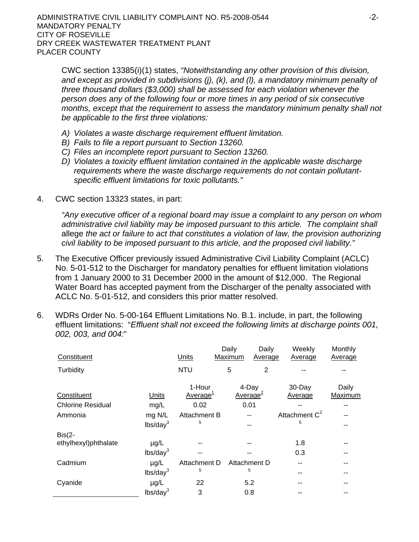CWC section 13385(i)(1) states, *"Notwithstanding any other provision of this division, and except as provided in subdivisions (j), (k), and (l), a mandatory minimum penalty of three thousand dollars (\$3,000) shall be assessed for each violation whenever the person does any of the following four or more times in any period of six consecutive months, except that the requirement to assess the mandatory minimum penalty shall not be applicable to the first three violations:*

- *A) Violates a waste discharge requirement effluent limitation.*
- *B) Fails to file a report pursuant to Section 13260.*
- *C) Files an incomplete report pursuant to Section 13260.*
- *D) Violates a toxicity effluent limitation contained in the applicable waste discharge requirements where the waste discharge requirements do not contain pollutantspecific effluent limitations for toxic pollutants."*
- 4. CWC section 13323 states, in part:

*"Any executive officer of a regional board may issue a complaint to any person on whom administrative civil liability may be imposed pursuant to this article. The complaint shall*  allege *the act or failure to act that constitutes a violation of law, the provision authorizing civil liability to be imposed pursuant to this article, and the proposed civil liability."*

- 5. The Executive Officer previously issued Administrative Civil Liability Complaint (ACLC) No. 5-01-512 to the Discharger for mandatory penalties for effluent limitation violations from 1 January 2000 to 31 December 2000 in the amount of \$12,000. The Regional Water Board has accepted payment from the Discharger of the penalty associated with ACLC No. 5-01-512, and considers this prior matter resolved.
- 6. WDRs Order No. 5-00-164 Effluent Limitations No. B.1. include, in part, the following effluent limitations: "*Effluent shall not exceed the following limits at discharge points 001, 002, 003, and 004:*"

| Constituent                             |                                   | Units                                  | Daily<br>Maximum | Daily<br>Average                      | Weekly<br>Average     | Monthly<br>Average |
|-----------------------------------------|-----------------------------------|----------------------------------------|------------------|---------------------------------------|-----------------------|--------------------|
| Turbidity                               |                                   | <b>NTU</b>                             | 5                | $\overline{2}$                        |                       |                    |
| Constituent<br><b>Chlorine Residual</b> | Units<br>mg/L                     | 1-Hour<br>Average <sup>1</sup><br>0.02 |                  | 4-Day<br>Average <sup>2</sup><br>0.01 | 30-Day<br>Average     | Daily<br>Maximum   |
| Ammonia                                 | mg N/L<br>lbs/day <sup>3</sup>    | Attachment B<br>5                      |                  |                                       | Attachment $C^2$<br>5 |                    |
| $Bis(2-$<br>ethylhexyl)phthalate        | $\mu$ g/L<br>lbs/day <sup>3</sup> |                                        |                  |                                       | 1.8<br>0.3            | --                 |
| Cadmium                                 | $\mu$ g/L<br>lbs/day <sup>3</sup> | Attachment D<br>5                      |                  | Attachment D<br>5                     | --<br>--              | --                 |
| Cyanide                                 | $\mu$ g/L<br>lbs/day <sup>3</sup> | 22<br>3                                |                  | 5.2<br>0.8                            |                       |                    |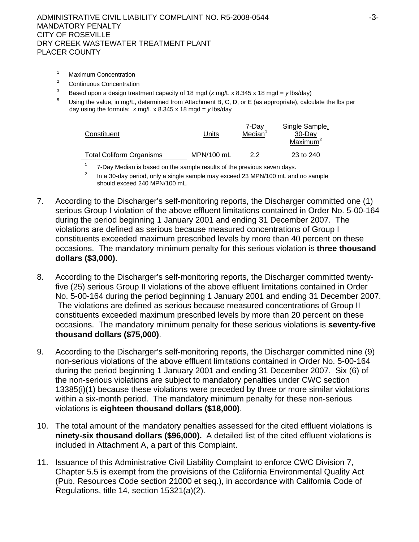- 1 Maximum Concentration
- 2 Continuous Concentration
- 3 Based upon a design treatment capacity of 18 mgd (*x* mg/L x 8.345 x 18 mgd = *y* lbs/day)
- Using the value, in mg/L, determined from Attachment B, C, D, or E (as appropriate), calculate the lbs per day using the formula: *x* mg/L x 8.345 x 18 mgd = *y* lbs/day

| Constituent              | Units      | 7-Day<br>Median | Single Sample,<br>30-Day<br>Maximum <sup>2</sup> |
|--------------------------|------------|-----------------|--------------------------------------------------|
| Total Coliform Organisms | MPN/100 mL | 22              | 23 to 240                                        |

<sup>1</sup> 7-Day Median is based on the sample results of the previous seven days.<br><sup>2</sup> **1.** a 20 day pariad, any a single sample may ayoned 22 MBN/100 mL and

 $\frac{1}{2}$  In a 30-day period, only a single sample may exceed 23 MPN/100 mL and no sample should exceed 240 MPN/100 mL.

- 7. According to the Discharger's self-monitoring reports, the Discharger committed one (1) serious Group I violation of the above effluent limitations contained in Order No. 5-00-164 during the period beginning 1 January 2001 and ending 31 December 2007. The violations are defined as serious because measured concentrations of Group I constituents exceeded maximum prescribed levels by more than 40 percent on these occasions. The mandatory minimum penalty for this serious violation is **three thousand dollars (\$3,000)**.
- 8. According to the Discharger's self-monitoring reports, the Discharger committed twentyfive (25) serious Group II violations of the above effluent limitations contained in Order No. 5-00-164 during the period beginning 1 January 2001 and ending 31 December 2007. The violations are defined as serious because measured concentrations of Group II constituents exceeded maximum prescribed levels by more than 20 percent on these occasions. The mandatory minimum penalty for these serious violations is **seventy-five thousand dollars (\$75,000)**.
- 9. According to the Discharger's self-monitoring reports, the Discharger committed nine (9) non-serious violations of the above effluent limitations contained in Order No. 5-00-164 during the period beginning 1 January 2001 and ending 31 December 2007. Six (6) of the non-serious violations are subject to mandatory penalties under CWC section 13385(i)(1) because these violations were preceded by three or more similar violations within a six-month period. The mandatory minimum penalty for these non-serious violations is **eighteen thousand dollars (\$18,000)**.
- 10. The total amount of the mandatory penalties assessed for the cited effluent violations is **ninety-six thousand dollars (\$96,000).** A detailed list of the cited effluent violations is included in Attachment A, a part of this Complaint.
- 11. Issuance of this Administrative Civil Liability Complaint to enforce CWC Division 7, Chapter 5.5 is exempt from the provisions of the California Environmental Quality Act (Pub. Resources Code section 21000 et seq.), in accordance with California Code of Regulations, title 14, section 15321(a)(2).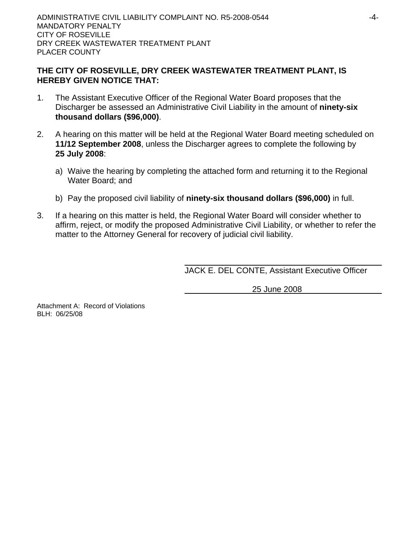## **THE CITY OF ROSEVILLE, DRY CREEK WASTEWATER TREATMENT PLANT, IS HEREBY GIVEN NOTICE THAT:**

- 1. The Assistant Executive Officer of the Regional Water Board proposes that the Discharger be assessed an Administrative Civil Liability in the amount of **ninety-six thousand dollars (\$96,000)**.
- 2. A hearing on this matter will be held at the Regional Water Board meeting scheduled on **11/12 September 2008**, unless the Discharger agrees to complete the following by **25 July 2008**:
	- a) Waive the hearing by completing the attached form and returning it to the Regional Water Board; and
	- b) Pay the proposed civil liability of **ninety-six thousand dollars (\$96,000)** in full.
- 3. If a hearing on this matter is held, the Regional Water Board will consider whether to affirm, reject, or modify the proposed Administrative Civil Liability, or whether to refer the matter to the Attorney General for recovery of judicial civil liability.

JACK E. DEL CONTE, Assistant Executive Officer

25 June 2008

Attachment A: Record of Violations BLH: 06/25/08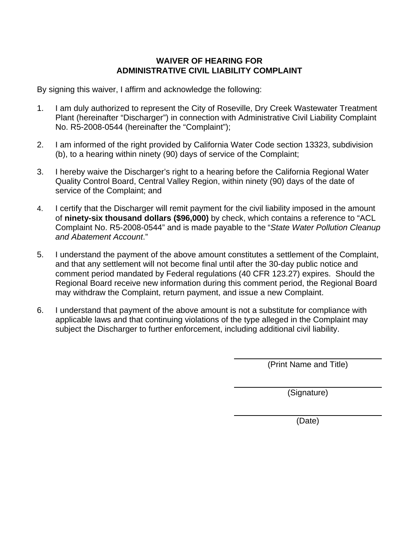# **WAIVER OF HEARING FOR ADMINISTRATIVE CIVIL LIABILITY COMPLAINT**

By signing this waiver, I affirm and acknowledge the following:

- 1. I am duly authorized to represent the City of Roseville, Dry Creek Wastewater Treatment Plant (hereinafter "Discharger") in connection with Administrative Civil Liability Complaint No. R5-2008-0544 (hereinafter the "Complaint");
- 2. I am informed of the right provided by California Water Code section 13323, subdivision (b), to a hearing within ninety (90) days of service of the Complaint;
- 3. I hereby waive the Discharger's right to a hearing before the California Regional Water Quality Control Board, Central Valley Region, within ninety (90) days of the date of service of the Complaint; and
- 4. I certify that the Discharger will remit payment for the civil liability imposed in the amount of **ninety-six thousand dollars (\$96,000)** by check, which contains a reference to "ACL Complaint No. R5-2008-0544" and is made payable to the "*State Water Pollution Cleanup and Abatement Account*."
- 5. I understand the payment of the above amount constitutes a settlement of the Complaint, and that any settlement will not become final until after the 30-day public notice and comment period mandated by Federal regulations (40 CFR 123.27) expires. Should the Regional Board receive new information during this comment period, the Regional Board may withdraw the Complaint, return payment, and issue a new Complaint.
- 6. I understand that payment of the above amount is not a substitute for compliance with applicable laws and that continuing violations of the type alleged in the Complaint may subject the Discharger to further enforcement, including additional civil liability.

(Print Name and Title)

(Signature)

(Date)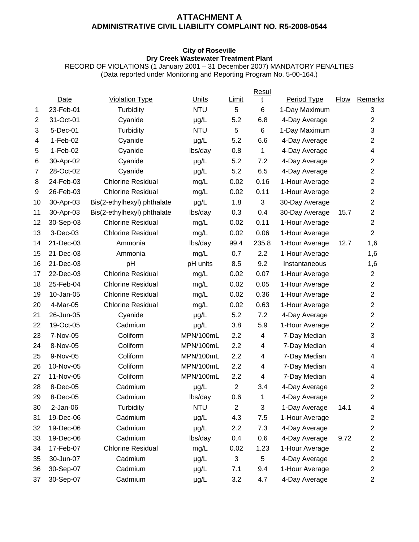### **ATTACHMENT A ADMINISTRATIVE CIVIL LIABILITY COMPLAINT NO. R5-2008-0544**

#### **City of Roseville Dry Creek Wastewater Treatment Plant**

RECORD OF VIOLATIONS (1 January 2001 – 31 December 2007) MANDATORY PENALTIES (Data reported under Monitoring and Reporting Program No. 5-00-164.)

|                |             |                             |            |                | Resul |                |      |                           |
|----------------|-------------|-----------------------------|------------|----------------|-------|----------------|------|---------------------------|
|                | <b>Date</b> | <b>Violation Type</b>       | Units      | <b>Limit</b>   | t     | Period Type    | Flow | Remarks                   |
| 1              | 23-Feb-01   | Turbidity                   | <b>NTU</b> | 5              | 6     | 1-Day Maximum  |      | 3                         |
| $\overline{2}$ | 31-Oct-01   | Cyanide                     | µg/L       | 5.2            | 6.8   | 4-Day Average  |      | $\overline{c}$            |
| 3              | 5-Dec-01    | Turbidity                   | <b>NTU</b> | 5              | 6     | 1-Day Maximum  |      | $\ensuremath{\mathsf{3}}$ |
| 4              | $1-Feb-02$  | Cyanide                     | µg/L       | 5.2            | 6.6   | 4-Day Average  |      | $\overline{c}$            |
| 5              | $1-Feb-02$  | Cyanide                     | lbs/day    | 0.8            | 1     | 4-Day Average  |      | 4                         |
| 6              | 30-Apr-02   | Cyanide                     | $\mu$ g/L  | 5.2            | 7.2   | 4-Day Average  |      | $\overline{c}$            |
| $\overline{7}$ | 28-Oct-02   | Cyanide                     | µg/L       | 5.2            | 6.5   | 4-Day Average  |      | $\boldsymbol{2}$          |
| 8              | 24-Feb-03   | <b>Chlorine Residual</b>    | mg/L       | 0.02           | 0.16  | 1-Hour Average |      | $\overline{c}$            |
| 9              | 26-Feb-03   | <b>Chlorine Residual</b>    | mg/L       | 0.02           | 0.11  | 1-Hour Average |      | $\boldsymbol{2}$          |
| 10             | 30-Apr-03   | Bis(2-ethylhexyl) phthalate | $\mu$ g/L  | 1.8            | 3     | 30-Day Average |      | $\overline{c}$            |
| 11             | 30-Apr-03   | Bis(2-ethylhexyl) phthalate | lbs/day    | 0.3            | 0.4   | 30-Day Average | 15.7 | $\overline{\mathbf{c}}$   |
| 12             | 30-Sep-03   | <b>Chlorine Residual</b>    | mg/L       | 0.02           | 0.11  | 1-Hour Average |      | $\overline{c}$            |
| 13             | 3-Dec-03    | <b>Chlorine Residual</b>    | mg/L       | 0.02           | 0.06  | 1-Hour Average |      | $\overline{2}$            |
| 14             | 21-Dec-03   | Ammonia                     | lbs/day    | 99.4           | 235.8 | 1-Hour Average | 12.7 | 1,6                       |
| 15             | 21-Dec-03   | Ammonia                     | mg/L       | 0.7            | 2.2   | 1-Hour Average |      | 1,6                       |
| 16             | 21-Dec-03   | pH                          | pH units   | 8.5            | 9.2   | Instantaneous  |      | 1,6                       |
| 17             | 22-Dec-03   | <b>Chlorine Residual</b>    | mg/L       | 0.02           | 0.07  | 1-Hour Average |      | $\overline{c}$            |
| 18             | 25-Feb-04   | <b>Chlorine Residual</b>    | mg/L       | 0.02           | 0.05  | 1-Hour Average |      | $\overline{c}$            |
| 19             | 10-Jan-05   | <b>Chlorine Residual</b>    | mg/L       | 0.02           | 0.36  | 1-Hour Average |      | $\boldsymbol{2}$          |
| 20             | 4-Mar-05    | <b>Chlorine Residual</b>    | mg/L       | 0.02           | 0.63  | 1-Hour Average |      | $\overline{c}$            |
| 21             | 26-Jun-05   | Cyanide                     | µg/L       | 5.2            | 7.2   | 4-Day Average  |      | $\boldsymbol{2}$          |
| 22             | 19-Oct-05   | Cadmium                     | µg/L       | 3.8            | 5.9   | 1-Hour Average |      | $\overline{c}$            |
| 23             | 7-Nov-05    | Coliform                    | MPN/100mL  | 2.2            | 4     | 7-Day Median   |      | $\ensuremath{\mathsf{3}}$ |
| 24             | 8-Nov-05    | Coliform                    | MPN/100mL  | 2.2            | 4     | 7-Day Median   |      | 4                         |
| 25             | 9-Nov-05    | Coliform                    | MPN/100mL  | 2.2            | 4     | 7-Day Median   |      | 4                         |
| 26             | 10-Nov-05   | Coliform                    | MPN/100mL  | 2.2            | 4     | 7-Day Median   |      | 4                         |
| 27             | 11-Nov-05   | Coliform                    | MPN/100mL  | 2.2            | 4     | 7-Day Median   |      | 4                         |
| 28             | 8-Dec-05    | Cadmium                     | $\mu g/L$  | $\overline{c}$ | 3.4   | 4-Day Average  |      | $\overline{c}$            |
| 29             | 8-Dec-05    | Cadmium                     | lbs/day    | 0.6            | 1     | 4-Day Average  |      | 2                         |
| 30             | $2-Jan-06$  | Turbidity                   | <b>NTU</b> | $\overline{2}$ | 3     | 1-Day Average  | 14.1 | 4                         |
| 31             | 19-Dec-06   | Cadmium                     | µg/L       | 4.3            | 7.5   | 1-Hour Average |      | 2                         |
| 32             | 19-Dec-06   | Cadmium                     | $\mu$ g/L  | 2.2            | 7.3   | 4-Day Average  |      | $\overline{c}$            |
| 33             | 19-Dec-06   | Cadmium                     | lbs/day    | 0.4            | 0.6   | 4-Day Average  | 9.72 | $\overline{\mathbf{c}}$   |
| 34             | 17-Feb-07   | <b>Chlorine Residual</b>    | mg/L       | 0.02           | 1.23  | 1-Hour Average |      | $\overline{\mathbf{c}}$   |
| 35             | 30-Jun-07   | Cadmium                     | µg/L       | 3              | 5     | 4-Day Average  |      | $\overline{\mathbf{c}}$   |
| 36             | 30-Sep-07   | Cadmium                     | $\mu$ g/L  | 7.1            | 9.4   | 1-Hour Average |      | $\overline{\mathbf{c}}$   |
| 37             | 30-Sep-07   | Cadmium                     | µg/L       | 3.2            | 4.7   | 4-Day Average  |      | $\overline{c}$            |